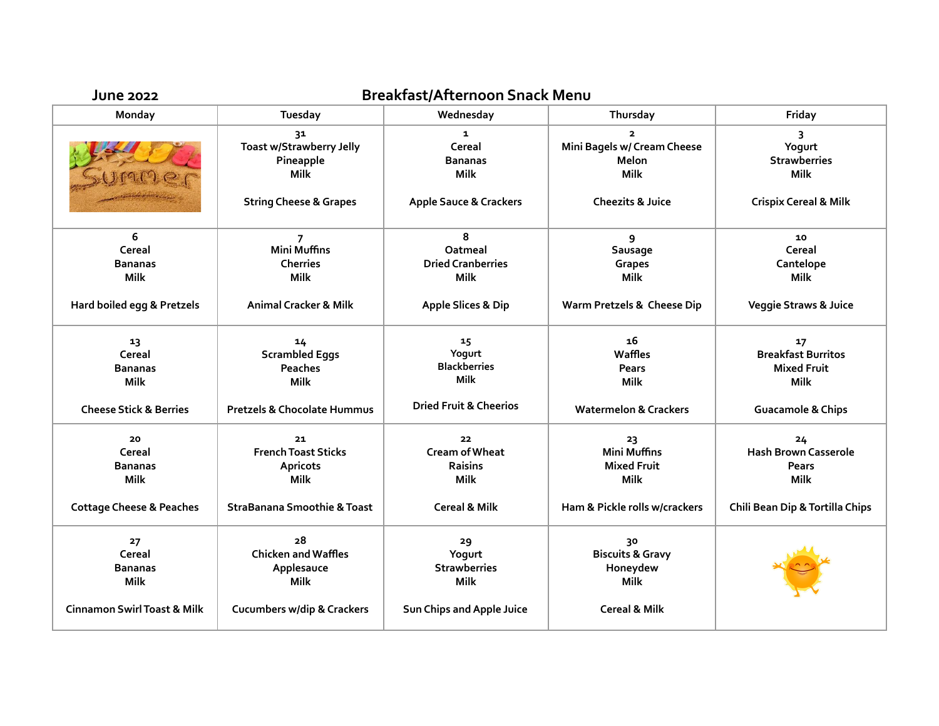| <b>June 2022</b>                       | Breakfast/Afternoon Snack Menu                      |                                                  |                                                              |                                                       |  |  |
|----------------------------------------|-----------------------------------------------------|--------------------------------------------------|--------------------------------------------------------------|-------------------------------------------------------|--|--|
| Monday                                 | Tuesday                                             | Wednesday                                        | Thursday                                                     | Friday                                                |  |  |
|                                        | 31<br>Toast w/Strawberry Jelly<br>Pineapple<br>Milk | $\mathbf{1}$<br>Cereal<br><b>Bananas</b><br>Milk | $\mathbf{2}$<br>Mini Bagels w/ Cream Cheese<br>Melon<br>Milk | 3<br>Yogurt<br><b>Strawberries</b><br><b>Milk</b>     |  |  |
|                                        | <b>String Cheese &amp; Grapes</b>                   | <b>Apple Sauce &amp; Crackers</b>                | <b>Cheezits &amp; Juice</b>                                  | <b>Crispix Cereal &amp; Milk</b>                      |  |  |
| 6                                      | $\overline{7}$                                      | 8                                                | 9                                                            | 10                                                    |  |  |
| Cereal                                 | <b>Mini Muffins</b>                                 | Oatmeal                                          | Sausage                                                      | Cereal                                                |  |  |
| <b>Bananas</b>                         | <b>Cherries</b>                                     | <b>Dried Cranberries</b>                         | Grapes                                                       | Cantelope                                             |  |  |
| <b>Milk</b>                            | <b>Milk</b>                                         | <b>Milk</b>                                      | <b>Milk</b>                                                  | <b>Milk</b>                                           |  |  |
| Hard boiled egg & Pretzels             | <b>Animal Cracker &amp; Milk</b>                    | <b>Apple Slices &amp; Dip</b>                    | Warm Pretzels & Cheese Dip                                   | <b>Veggie Straws &amp; Juice</b>                      |  |  |
| 13<br>Cereal<br><b>Bananas</b>         | 14<br><b>Scrambled Eggs</b><br>Peaches              | 15 <sub>1</sub><br>Yogurt<br><b>Blackberries</b> | 16<br>Waffles<br><b>Pears</b>                                | 17<br><b>Breakfast Burritos</b><br><b>Mixed Fruit</b> |  |  |
| Milk                                   | <b>Milk</b>                                         | <b>Milk</b>                                      | Milk                                                         | <b>Milk</b>                                           |  |  |
| <b>Cheese Stick &amp; Berries</b>      | Pretzels & Chocolate Hummus                         | <b>Dried Fruit &amp; Cheerios</b>                | <b>Watermelon &amp; Crackers</b>                             | <b>Guacamole &amp; Chips</b>                          |  |  |
| 20                                     | 21                                                  | 22                                               | 23                                                           | 24                                                    |  |  |
| Cereal                                 | <b>French Toast Sticks</b>                          | <b>Cream of Wheat</b>                            | <b>Mini Muffins</b>                                          | <b>Hash Brown Casserole</b>                           |  |  |
| <b>Bananas</b>                         | Apricots                                            | Raisins                                          | <b>Mixed Fruit</b>                                           | <b>Pears</b>                                          |  |  |
| <b>Milk</b>                            | <b>Milk</b>                                         | <b>Milk</b>                                      | Milk                                                         | <b>Milk</b>                                           |  |  |
| <b>Cottage Cheese &amp; Peaches</b>    | <b>StraBanana Smoothie &amp; Toast</b>              | <b>Cereal &amp; Milk</b>                         | Ham & Pickle rolls w/crackers                                | Chili Bean Dip & Tortilla Chips                       |  |  |
| 27                                     | 28                                                  | 29                                               | 30                                                           |                                                       |  |  |
| Cereal                                 | <b>Chicken and Waffles</b>                          | Yogurt                                           | <b>Biscuits &amp; Gravy</b>                                  |                                                       |  |  |
| <b>Bananas</b><br>Milk                 | Applesauce<br>Milk                                  | <b>Strawberries</b><br><b>Milk</b>               | Honeydew<br>Milk                                             |                                                       |  |  |
| <b>Cinnamon Swirl Toast &amp; Milk</b> | <b>Cucumbers w/dip &amp; Crackers</b>               | Sun Chips and Apple Juice                        | <b>Cereal &amp; Milk</b>                                     |                                                       |  |  |